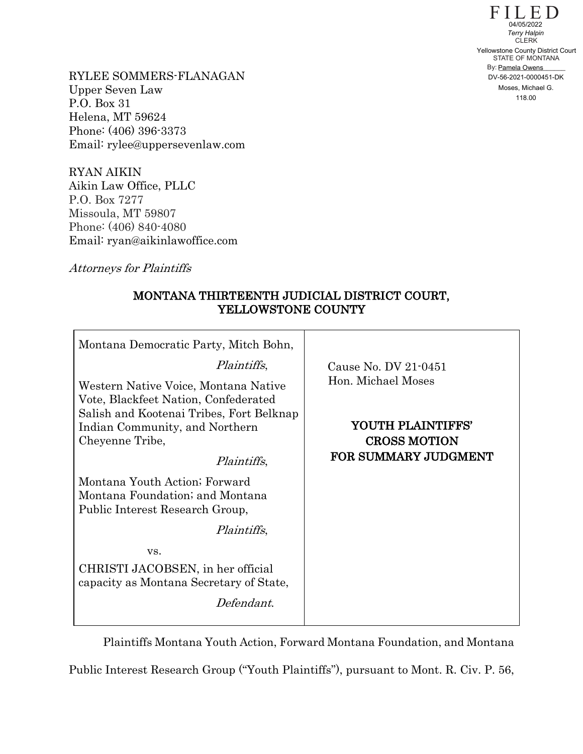$FILE D$ STATE OF MONTANA By: Pamela Owens **CLERK** 04/05/2022<br>
Terry Halpin<br>
CLERK<br>
Yellowstone County District Court<br>
STATE OF MONTANA<br>
By: <u>Pamela Owens</u><br>
DV-56-2021-0000451-DK<br>
Moses, Michael G.<br>
118.00

RYLEE SOMMERS-FLANAGAN Upper Seven Law P.O. Box 31 Helena, MT 59624 Phone: (406) 396-3373 Email: rylee@uppersevenlaw.com

RYAN AIKIN Aikin Law Office, PLLC P.O. Box 7277 Missoula, MT 59807 Phone: (406) 840-4080 Email: ryan@aikinlawoffice.com

Attorneys for Plaintiffs

## MONTANA THIRTEENTH JUDICIAL DISTRICT COURT, YELLOWSTONE COUNTY

| Montana Democratic Party, Mitch Bohn,                                                                                    |                                          |
|--------------------------------------------------------------------------------------------------------------------------|------------------------------------------|
| Plaintiffs,                                                                                                              | Cause No. DV 21-0451                     |
| Western Native Voice, Montana Native<br>Vote, Blackfeet Nation, Confederated<br>Salish and Kootenai Tribes, Fort Belknap | Hon. Michael Moses                       |
| Indian Community, and Northern<br>Cheyenne Tribe,                                                                        | YOUTH PLAINTIFFS'<br><b>CROSS MOTION</b> |
| <i>Plaintiffs</i> ,                                                                                                      | FOR SUMMARY JUDGMENT                     |
| Montana Youth Action; Forward<br>Montana Foundation; and Montana<br>Public Interest Research Group,                      |                                          |
| <i>Plaintiffs</i> ,                                                                                                      |                                          |
| VS.                                                                                                                      |                                          |
| CHRISTI JACOBSEN, in her official<br>capacity as Montana Secretary of State,                                             |                                          |
| Defendant.                                                                                                               |                                          |

Plaintiffs Montana Youth Action, Forward Montana Foundation, and Montana

Public Interest Research Group ("Youth Plaintiffs"), pursuant to Mont. R. Civ. P. 56,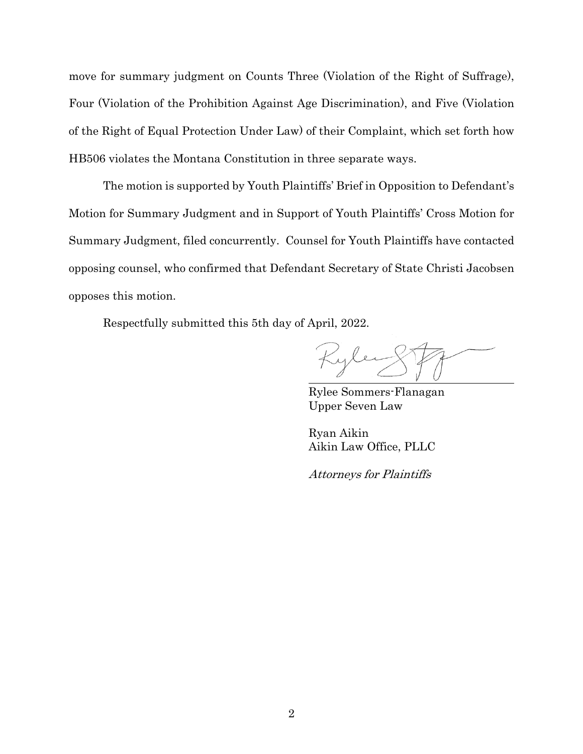move for summary judgment on Counts Three (Violation of the Right of Suffrage), Four (Violation of the Prohibition Against Age Discrimination), and Five (Violation of the Right of Equal Protection Under Law) of their Complaint, which set forth how HB506 violates the Montana Constitution in three separate ways.

The motion is supported by Youth Plaintiffs' Brief in Opposition to Defendant's Motion for Summary Judgment and in Support of Youth Plaintiffs' Cross Motion for Summary Judgment, filed concurrently. Counsel for Youth Plaintiffs have contacted opposing counsel, who confirmed that Defendant Secretary of State Christi Jacobsen opposes this motion.

Respectfully submitted this 5th day of April, 2022.

Kyle

Rylee Sommers-Flanagan Upper Seven Law

Ryan Aikin Aikin Law Office, PLLC

Attorneys for Plaintiffs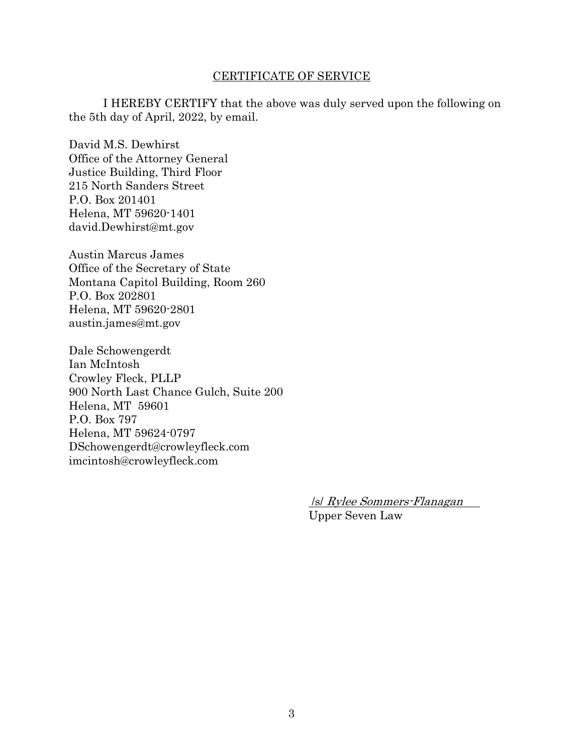## CERTIFICATE OF SERVICE

I HEREBY CERTIFY that the above was duly served upon the following on the 5th day of April, 2022, by email.

David M.S. Dewhirst Office of the Attorney General Justice Building, Third Floor 215 North Sanders Street P.O. Box 201401 Helena, MT 59620-1401 david.Dewhirst@mt.gov

Austin Marcus James Office of the Secretary of State Montana Capitol Building, Room 260 P.O. Box 202801 Helena, MT 59620-2801 austin.james@mt.gov

Dale Schowengerdt Ian McIntosh Crowley Fleck, PLLP 900 North Last Chance Gulch, Suite 200 Helena, MT 59601 P.O. Box 797 Helena, MT 59624-0797 DSchowengerdt@crowleyfleck.com imcintosh@crowleyfleck.com

> /s/ Rylee Sommers-Flanagan Upper Seven Law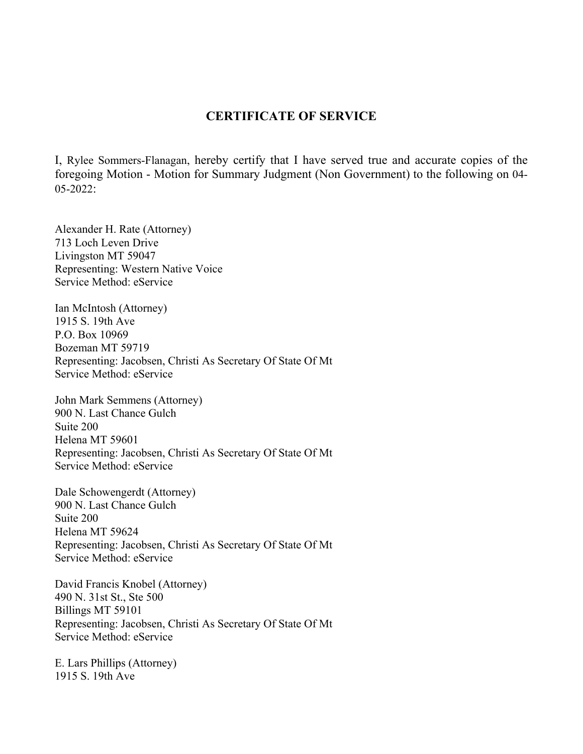## **CERTIFICATE OF SERVICE**

I, Rylee Sommers-Flanagan, hereby certify that I have served true and accurate copies of the foregoing Motion - Motion for Summary Judgment (Non Government) to the following on 04- 05-2022:

Alexander H. Rate (Attorney) 713 Loch Leven Drive Livingston MT 59047 Representing: Western Native Voice Service Method: eService

Ian McIntosh (Attorney) 1915 S. 19th Ave P.O. Box 10969 Bozeman MT 59719 Representing: Jacobsen, Christi As Secretary Of State Of Mt Service Method: eService

John Mark Semmens (Attorney) 900 N. Last Chance Gulch Suite 200 Helena MT 59601 Representing: Jacobsen, Christi As Secretary Of State Of Mt Service Method: eService

Dale Schowengerdt (Attorney) 900 N. Last Chance Gulch Suite 200 Helena MT 59624 Representing: Jacobsen, Christi As Secretary Of State Of Mt Service Method: eService

David Francis Knobel (Attorney) 490 N. 31st St., Ste 500 Billings MT 59101 Representing: Jacobsen, Christi As Secretary Of State Of Mt Service Method: eService

E. Lars Phillips (Attorney) 1915 S. 19th Ave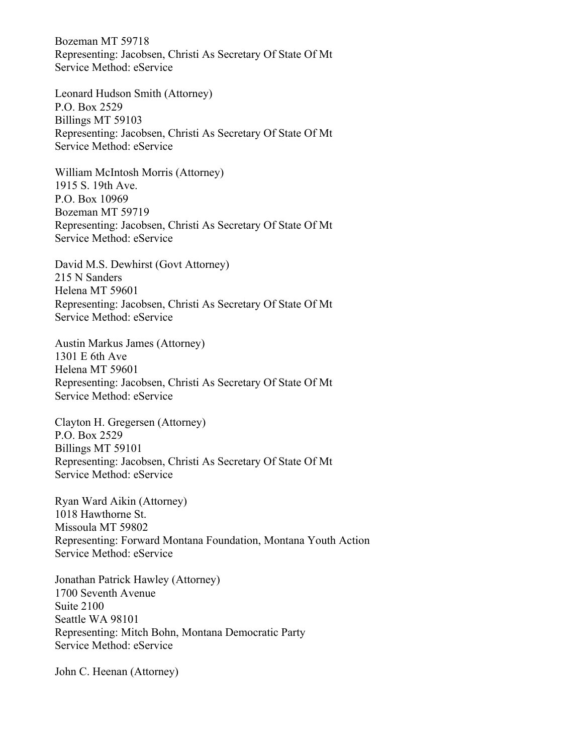Bozeman MT 59718 Representing: Jacobsen, Christi As Secretary Of State Of Mt Service Method: eService

Leonard Hudson Smith (Attorney) P.O. Box 2529 Billings MT 59103 Representing: Jacobsen, Christi As Secretary Of State Of Mt Service Method: eService

William McIntosh Morris (Attorney) 1915 S. 19th Ave. P.O. Box 10969 Bozeman MT 59719 Representing: Jacobsen, Christi As Secretary Of State Of Mt Service Method: eService

David M.S. Dewhirst (Govt Attorney) 215 N Sanders Helena MT 59601 Representing: Jacobsen, Christi As Secretary Of State Of Mt Service Method: eService

Austin Markus James (Attorney) 1301 E 6th Ave Helena MT 59601 Representing: Jacobsen, Christi As Secretary Of State Of Mt Service Method: eService

Clayton H. Gregersen (Attorney) P.O. Box 2529 Billings MT 59101 Representing: Jacobsen, Christi As Secretary Of State Of Mt Service Method: eService

Ryan Ward Aikin (Attorney) 1018 Hawthorne St. Missoula MT 59802 Representing: Forward Montana Foundation, Montana Youth Action Service Method: eService

Jonathan Patrick Hawley (Attorney) 1700 Seventh Avenue Suite 2100 Seattle WA 98101 Representing: Mitch Bohn, Montana Democratic Party Service Method: eService

John C. Heenan (Attorney)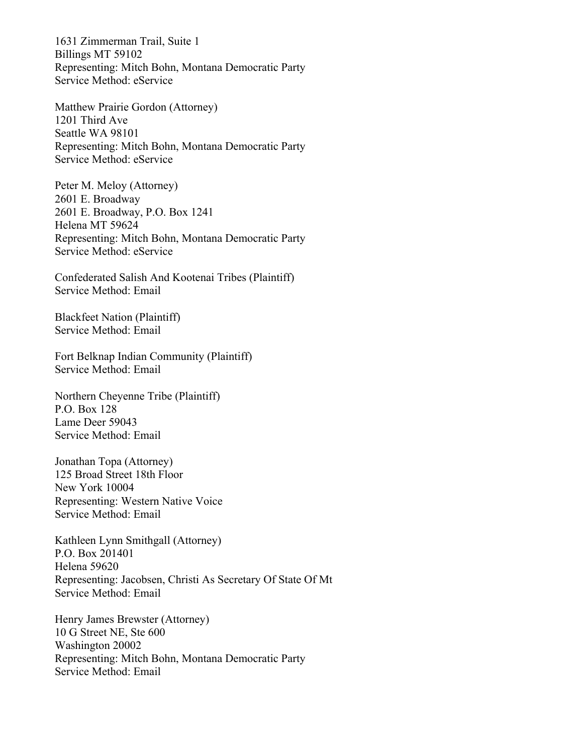1631 Zimmerman Trail, Suite 1 Billings MT 59102 Representing: Mitch Bohn, Montana Democratic Party Service Method: eService

Matthew Prairie Gordon (Attorney) 1201 Third Ave Seattle WA 98101 Representing: Mitch Bohn, Montana Democratic Party Service Method: eService

Peter M. Meloy (Attorney) 2601 E. Broadway 2601 E. Broadway, P.O. Box 1241 Helena MT 59624 Representing: Mitch Bohn, Montana Democratic Party Service Method: eService

Confederated Salish And Kootenai Tribes (Plaintiff) Service Method: Email

Blackfeet Nation (Plaintiff) Service Method: Email

Fort Belknap Indian Community (Plaintiff) Service Method: Email

Northern Cheyenne Tribe (Plaintiff) P.O. Box 128 Lame Deer 59043 Service Method: Email

Jonathan Topa (Attorney) 125 Broad Street 18th Floor New York 10004 Representing: Western Native Voice Service Method: Email

Kathleen Lynn Smithgall (Attorney) P.O. Box 201401 Helena 59620 Representing: Jacobsen, Christi As Secretary Of State Of Mt Service Method: Email

Henry James Brewster (Attorney) 10 G Street NE, Ste 600 Washington 20002 Representing: Mitch Bohn, Montana Democratic Party Service Method: Email